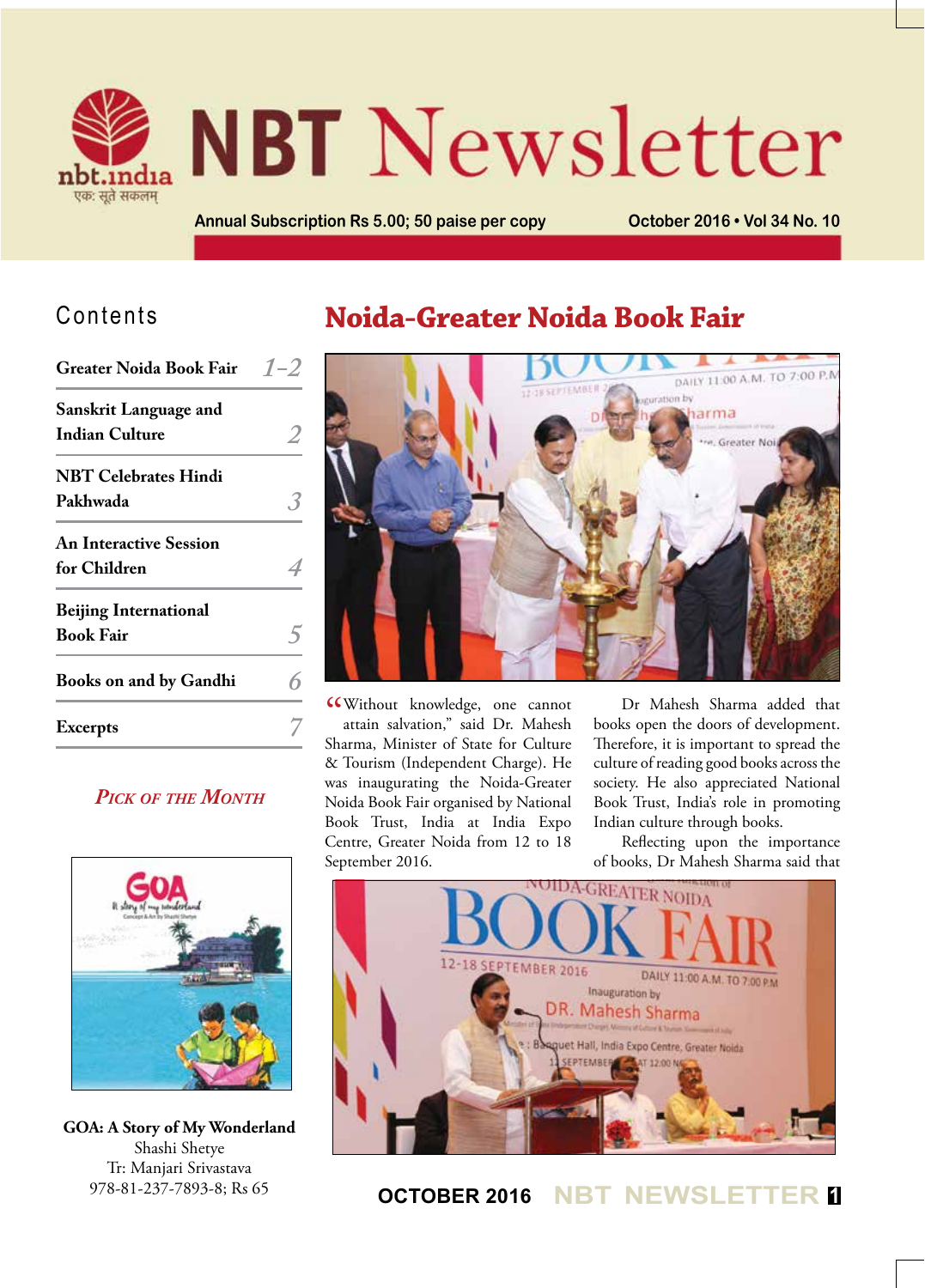

# **NBT** Newsletter

**Annual Subscription Rs 5.00; 50 paise per copy October 2016 • Vol 34 No. 10**

## Contents

| <b>Greater Noida Book Fair</b>                        | $1 - 2$ |
|-------------------------------------------------------|---------|
| <b>Sanskrit Language and</b><br><b>Indian Culture</b> |         |
| <b>NBT Celebrates Hindi</b><br>Pakhwada               |         |
| <b>An Interactive Session</b><br>for Children         |         |
| <b>Beijing International</b><br><b>Book Fair</b>      |         |
| <b>Books on and by Gandhi</b>                         |         |
| <b>Excerpts</b>                                       |         |
|                                                       |         |

## *Pick of the Month*



**GOA: A Story of My Wonderland** Shashi Shetye Tr: Manjari Srivastava 978-81-237-7893-8; Rs 65

# **Noida-Greater Noida Book Fair**



**CC**Without knowledge, one cannot attain salvation," said Dr. Mahesh attain salvation," said Dr. Mahesh Sharma, Minister of State for Culture & Tourism (Independent Charge). He was inaugurating the Noida-Greater Noida Book Fair organised by National Book Trust, India at India Expo Centre, Greater Noida from 12 to 18 September 2016.

Dr Mahesh Sharma added that books open the doors of development. Therefore, it is important to spread the culture of reading good books across the society. He also appreciated National Book Trust, India's role in promoting Indian culture through books.

Reflecting upon the importance of books, Dr Mahesh Sharma said that



## **OCTOBER 2016 NBT NEWSLETTER <sup>1</sup>**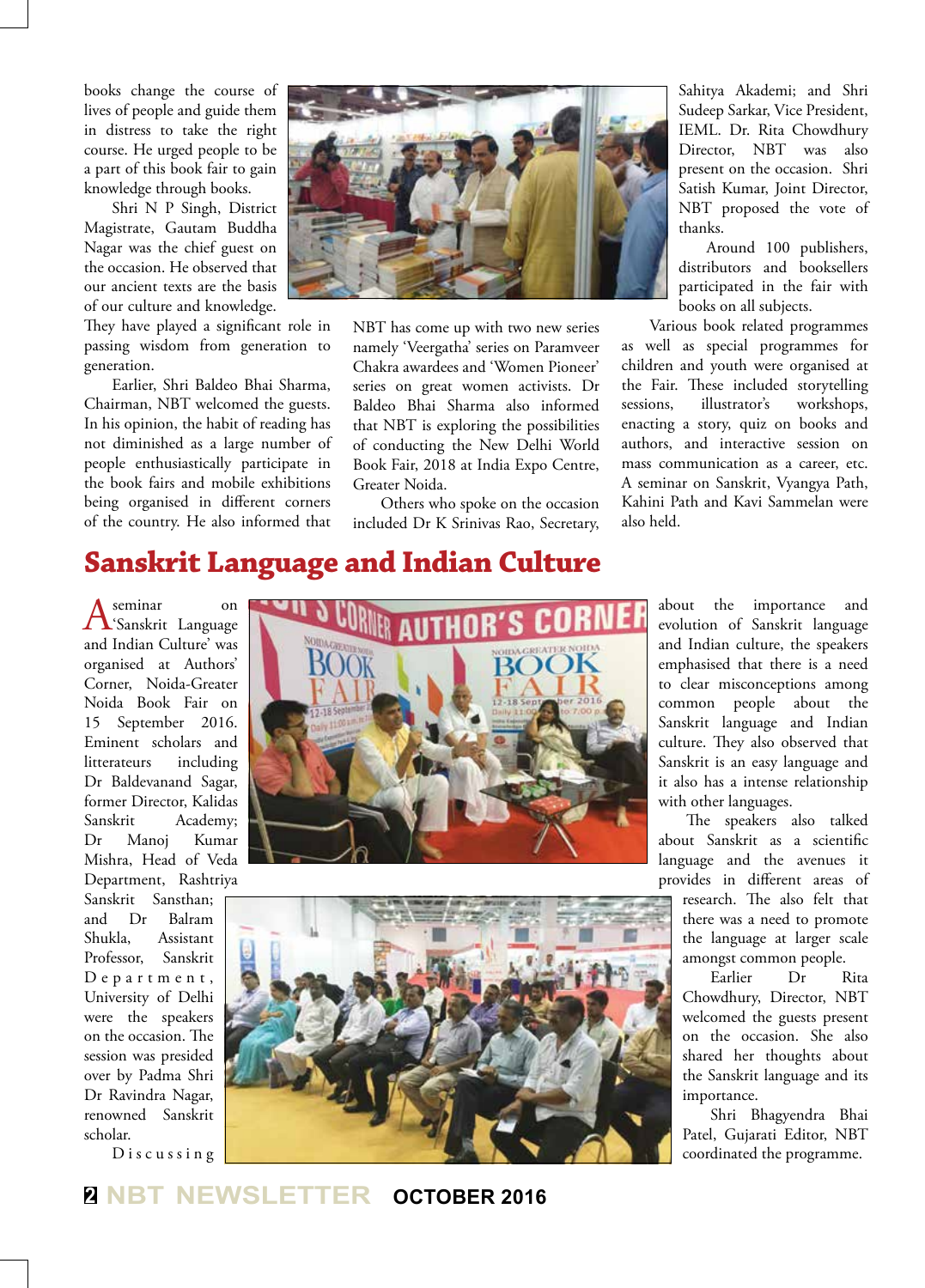books change the course of lives of people and guide them in distress to take the right course. He urged people to be a part of this book fair to gain knowledge through books.

Shri N P Singh, District Magistrate, Gautam Buddha Nagar was the chief guest on the occasion. He observed that our ancient texts are the basis of our culture and knowledge.

They have played a significant role in passing wisdom from generation to generation.

Earlier, Shri Baldeo Bhai Sharma, Chairman, NBT welcomed the guests. In his opinion, the habit of reading has not diminished as a large number of people enthusiastically participate in the book fairs and mobile exhibitions being organised in different corners of the country. He also informed that



NBT has come up with two new series namely 'Veergatha' series on Paramveer Chakra awardees and 'Women Pioneer' series on great women activists. Dr Baldeo Bhai Sharma also informed that NBT is exploring the possibilities of conducting the New Delhi World Book Fair, 2018 at India Expo Centre, Greater Noida.

Others who spoke on the occasion included Dr K Srinivas Rao, Secretary, Sahitya Akademi; and Shri Sudeep Sarkar, Vice President, IEML. Dr. Rita Chowdhury Director, NBT was also present on the occasion. Shri Satish Kumar, Joint Director, NBT proposed the vote of thanks.

Around 100 publishers, distributors and booksellers participated in the fair with books on all subjects.

Various book related programmes as well as special programmes for children and youth were organised at the Fair. These included storytelling sessions, illustrator's workshops, enacting a story, quiz on books and authors, and interactive session on mass communication as a career, etc. A seminar on Sanskrit, Vyangya Path, Kahini Path and Kavi Sammelan were also held.

## **Sanskrit Language and Indian Culture**

A seminar on<br>A 'Sanskrit Language and Indian Culture' was organised at Authors' Corner, Noida-Greater Noida Book Fair on 15 September 2016. Eminent scholars and litterateurs including Dr Baldevanand Sagar, former Director, Kalidas Sanskrit Academy; Dr Manoj Kumar Mishra, Head of Veda Department, Rashtriya

Sanskrit Sansthan; and Dr Balram Shukla, Assistant Professor, Sanskrit D e p a r t m e n t , University of Delhi were the speakers on the occasion. The session was presided over by Padma Shri Dr Ravindra Nagar, renowned Sanskrit scholar.

D i s c u s s i n g





about the importance and evolution of Sanskrit language and Indian culture, the speakers emphasised that there is a need to clear misconceptions among common people about the Sanskrit language and Indian culture. They also observed that Sanskrit is an easy language and it also has a intense relationship with other languages.

The speakers also talked about Sanskrit as a scientific language and the avenues it provides in different areas of research. The also felt that there was a need to promote the language at larger scale amongst common people.

Earlier Dr Rita Chowdhury, Director, NBT welcomed the guests present on the occasion. She also shared her thoughts about the Sanskrit language and its importance.

Shri Bhagyendra Bhai Patel, Gujarati Editor, NBT coordinated the programme.

## **<sup>2</sup> NBT NEWSLETTER OCTOBER 2016**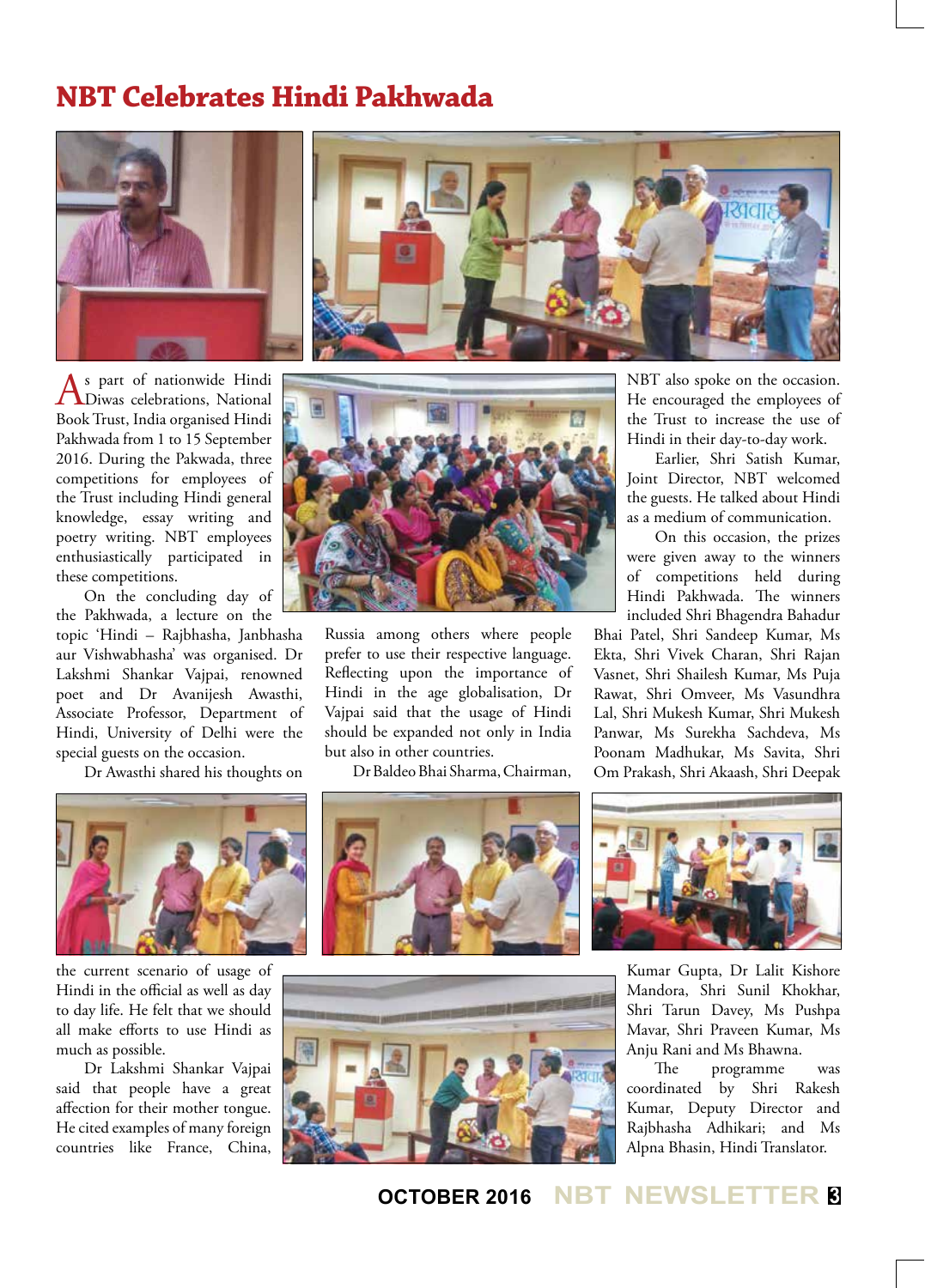## **NBT Celebrates Hindi Pakhwada**





As part of nationwide Hindi<br>Diwas celebrations, National Book Trust, India organised Hindi Pakhwada from 1 to 15 September 2016. During the Pakwada, three competitions for employees of the Trust including Hindi general knowledge, essay writing and poetry writing. NBT employees enthusiastically participated in these competitions.

On the concluding day of the Pakhwada, a lecture on the topic 'Hindi – Rajbhasha, Janbhasha aur Vishwabhasha' was organised. Dr Lakshmi Shankar Vajpai, renowned poet and Dr Avanijesh Awasthi, Associate Professor, Department of Hindi, University of Delhi were the special guests on the occasion.

Dr Awasthi shared his thoughts on



Russia among others where people prefer to use their respective language. Reflecting upon the importance of Hindi in the age globalisation, Dr Vajpai said that the usage of Hindi should be expanded not only in India but also in other countries.

Dr Baldeo Bhai Sharma, Chairman,

NBT also spoke on the occasion. He encouraged the employees of the Trust to increase the use of Hindi in their day-to-day work.

Earlier, Shri Satish Kumar, Joint Director, NBT welcomed the guests. He talked about Hindi as a medium of communication.

On this occasion, the prizes were given away to the winners of competitions held during Hindi Pakhwada. The winners included Shri Bhagendra Bahadur

Bhai Patel, Shri Sandeep Kumar, Ms Ekta, Shri Vivek Charan, Shri Rajan Vasnet, Shri Shailesh Kumar, Ms Puja Rawat, Shri Omveer, Ms Vasundhra Lal, Shri Mukesh Kumar, Shri Mukesh Panwar, Ms Surekha Sachdeva, Ms Poonam Madhukar, Ms Savita, Shri Om Prakash, Shri Akaash, Shri Deepak



the current scenario of usage of Hindi in the official as well as day to day life. He felt that we should all make efforts to use Hindi as much as possible.

Dr Lakshmi Shankar Vajpai said that people have a great affection for their mother tongue. He cited examples of many foreign countries like France, China,





Kumar Gupta, Dr Lalit Kishore Mandora, Shri Sunil Khokhar, Shri Tarun Davey, Ms Pushpa Mavar, Shri Praveen Kumar, Ms Anju Rani and Ms Bhawna.

The programme was coordinated by Shri Rakesh Kumar, Deputy Director and Rajbhasha Adhikari; and Ms Alpna Bhasin, Hindi Translator.

## **OCTOBER 2016 NBT NEWSLETTER <sup>3</sup>**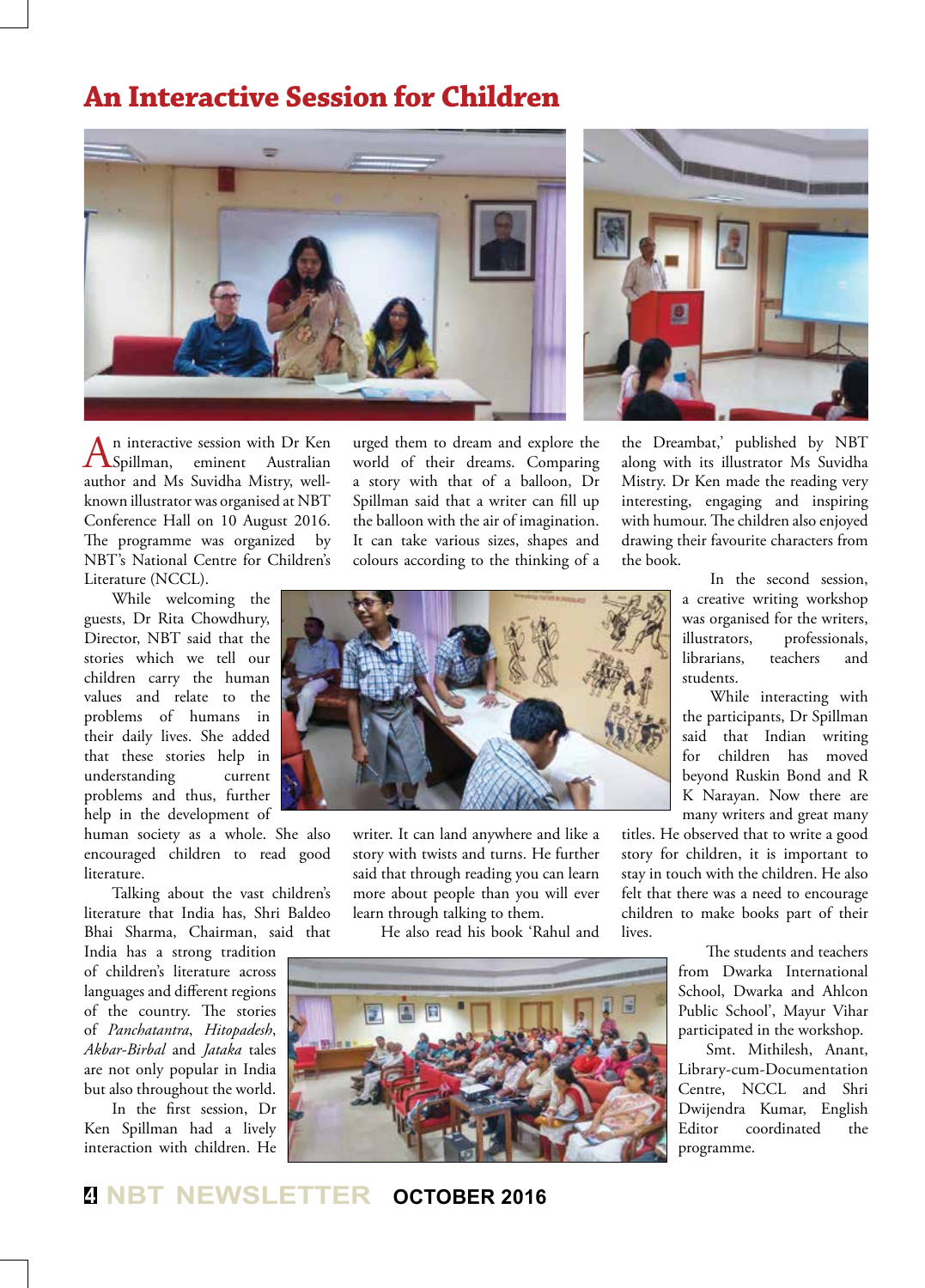## **An Interactive Session for Children**





An interactive session with Dr Ken<br>Spillman, eminent Australian author and Ms Suvidha Mistry, wellknown illustrator was organised at NBT Conference Hall on 10 August 2016. The programme was organized by NBT's National Centre for Children's Literature (NCCL).

While welcoming the guests, Dr Rita Chowdhury, Director, NBT said that the stories which we tell our children carry the human values and relate to the problems of humans in their daily lives. She added that these stories help in understanding current problems and thus, further help in the development of

human society as a whole. She also encouraged children to read good literature.

Talking about the vast children's literature that India has, Shri Baldeo Bhai Sharma, Chairman, said that

India has a strong tradition of children's literature across languages and different regions of the country. The stories of *Panchatantra*, *Hitopadesh*, *Akbar-Birbal* and *Jataka* tales are not only popular in India but also throughout the world.

In the first session, Dr Ken Spillman had a lively interaction with children. He

urged them to dream and explore the world of their dreams. Comparing a story with that of a balloon, Dr Spillman said that a writer can fill up the balloon with the air of imagination. It can take various sizes, shapes and colours according to the thinking of a the Dreambat,' published by NBT along with its illustrator Ms Suvidha Mistry. Dr Ken made the reading very interesting, engaging and inspiring with humour. The children also enjoyed drawing their favourite characters from the book.



writer. It can land anywhere and like a story with twists and turns. He further said that through reading you can learn more about people than you will ever learn through talking to them.

He also read his book 'Rahul and



In the second session, a creative writing workshop was organised for the writers, illustrators, professionals, librarians, teachers and students.

While interacting with the participants, Dr Spillman said that Indian writing for children has moved beyond Ruskin Bond and R K Narayan. Now there are many writers and great many

titles. He observed that to write a good story for children, it is important to stay in touch with the children. He also felt that there was a need to encourage children to make books part of their lives.

> The students and teachers from Dwarka International School, Dwarka and Ahlcon Public School', Mayur Vihar participated in the workshop.

> Smt. Mithilesh, Anant, Library-cum-Documentation Centre, NCCL and Shri Dwijendra Kumar, English Editor coordinated the programme.

## **<sup>4</sup> NBT NEWSLETTER OCTOBER 2016**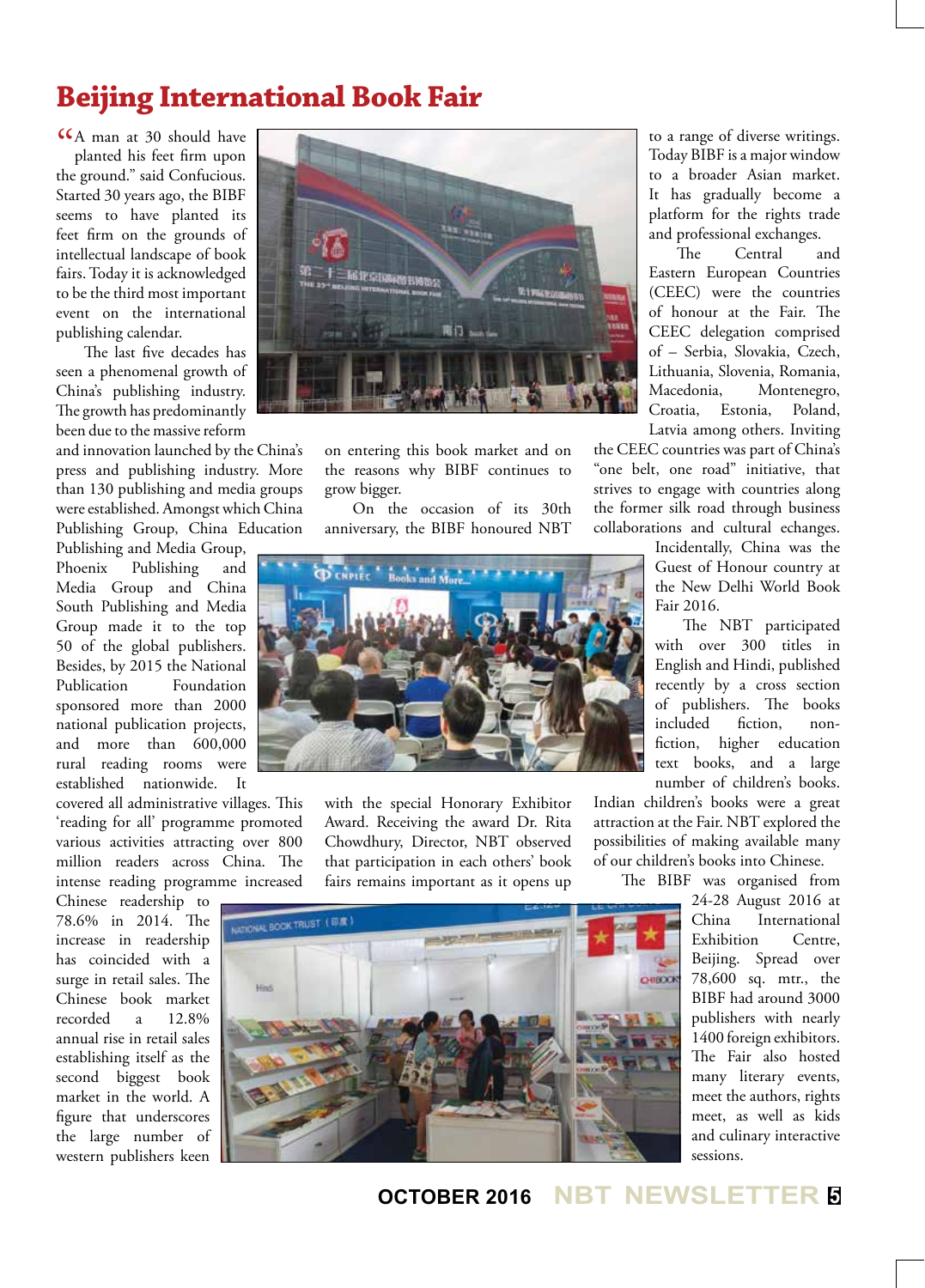# **Beijing International Book Fair**

CA man at 30 should have<br>planted his feet firm upon planted his feet firm upon the ground." said Confucious. Started 30 years ago, the BIBF seems to have planted its feet firm on the grounds of intellectual landscape of book fairs. Today it is acknowledged to be the third most important event on the international publishing calendar.

The last five decades has seen a phenomenal growth of China's publishing industry. The growth has predominantly been due to the massive reform

and innovation launched by the China's press and publishing industry. More than 130 publishing and media groups were established. Amongst which China Publishing Group, China Education

Publishing and Media Group, Phoenix Publishing and Media Group and China South Publishing and Media Group made it to the top 50 of the global publishers. Besides, by 2015 the National Publication Foundation sponsored more than 2000 national publication projects, and more than 600,000 rural reading rooms were established nationwide. It

covered all administrative villages. This 'reading for all' programme promoted various activities attracting over 800 million readers across China. The intense reading programme increased

Chinese readership to 78.6% in 2014. The increase in readership has coincided with a surge in retail sales. The Chinese book market recorded a 12.8% annual rise in retail sales establishing itself as the second biggest book market in the world. A figure that underscores the large number of western publishers keen



on entering this book market and on the reasons why BIBF continues to grow bigger.

On the occasion of its 30th anniversary, the BIBF honoured NBT



with the special Honorary Exhibitor Award. Receiving the award Dr. Rita Chowdhury, Director, NBT observed that participation in each others' book fairs remains important as it opens up to a range of diverse writings. Today BIBF is a major window to a broader Asian market. It has gradually become a platform for the rights trade and professional exchanges.

The Central and Eastern European Countries (CEEC) were the countries of honour at the Fair. The CEEC delegation comprised of – Serbia, Slovakia, Czech, Lithuania, Slovenia, Romania, Macedonia, Montenegro, Croatia, Estonia, Poland, Latvia among others. Inviting

the CEEC countries was part of China's "one belt, one road" initiative, that strives to engage with countries along the former silk road through business collaborations and cultural echanges.

> Incidentally, China was the Guest of Honour country at the New Delhi World Book Fair 2016.

The NBT participated with over 300 titles in English and Hindi, published recently by a cross section of publishers. The books included fiction, nonfiction, higher education text books, and a large number of children's books.

Indian children's books were a great attraction at the Fair. NBT explored the possibilities of making available many of our children's books into Chinese.

The BIBF was organised from

24-28 August 2016 at China International Exhibition Centre, Beijing. Spread over 78,600 sq. mtr., the BIBF had around 3000 publishers with nearly 1400 foreign exhibitors. The Fair also hosted many literary events, meet the authors, rights meet, as well as kids and culinary interactive sessions.



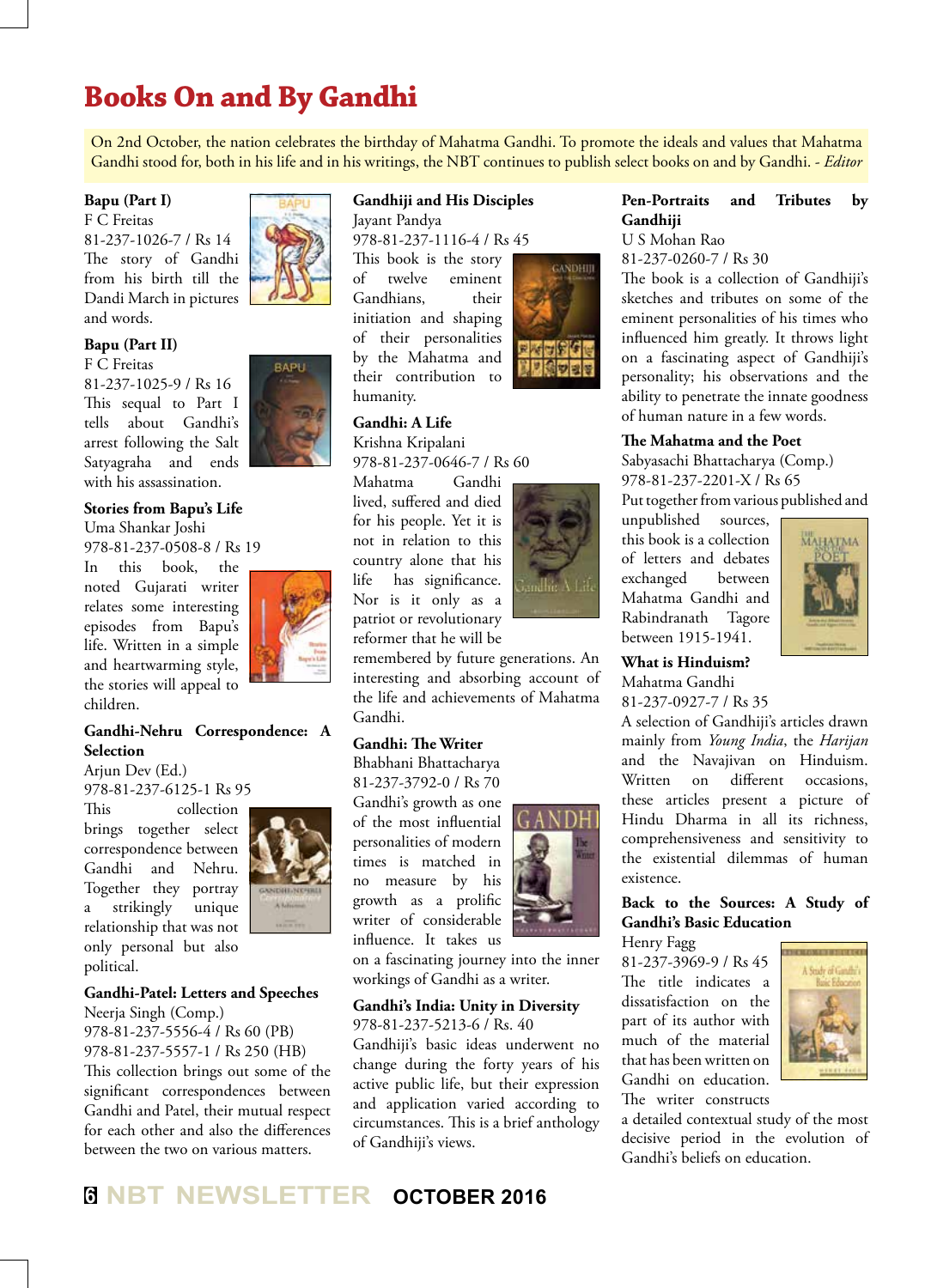# **Books On and By Gandhi**

On 2nd October, the nation celebrates the birthday of Mahatma Gandhi. To promote the ideals and values that Mahatma Gandhi stood for, both in his life and in his writings, the NBT continues to publish select books on and by Gandhi. - *Editor*

#### **Bapu (Part I)**

F C Freitas 81-237-1026-7 / Rs 14 The story of Gandhi from his birth till the Dandi March in pictures and words.



F C Freitas 81-237-1025-9 / Rs 16 This sequal to Part I tells about Gandhi's arrest following the Salt Satyagraha and ends with his assassination.

### **Stories from Bapu's Life**

Uma Shankar Joshi

978-81-237-0508-8 / Rs 19

In this book, the noted Gujarati writer relates some interesting episodes from Bapu's life. Written in a simple and heartwarming style, the stories will appeal to children.



RAPLI

#### **Gandhi-Nehru Correspondence: A Selection**

Arjun Dev (Ed.) 978-81-237-6125-1 Rs 95

This collection brings together select correspondence between Gandhi and Nehru. Together they portray a strikingly unique relationship that was not only personal but also political.



#### **Gandhi-Patel: Letters and Speeches**

Neerja Singh (Comp.) 978-81-237-5556-4 / Rs 60 (PB) 978-81-237-5557-1 / Rs 250 (HB) This collection brings out some of the significant correspondences between Gandhi and Patel, their mutual respect for each other and also the differences between the two on various matters.

#### **Gandhiji and His Disciples**

Jayant Pandya 978-81-237-1116-4 / Rs 45

This book is the story of twelve eminent Gandhians, their initiation and shaping of their personalities by the Mahatma and their contribution to humanity.

#### **Gandhi: A Life**

Krishna Kripalani 978-81-237-0646-7 / Rs 60

Mahatma Gandhi lived, suffered and died for his people. Yet it is not in relation to this country alone that his life has significance. Nor is it only as a patriot or revolutionary reformer that he will be

remembered by future generations. An interesting and absorbing account of the life and achievements of Mahatma

#### **Gandhi: The Writer**

Gandhi.

Bhabhani Bhattacharya 81-237-3792-0 / Rs 70 Gandhi's growth as one of the most influential personalities of modern times is matched in no measure by his growth as a prolific writer of considerable influence. It takes us



on a fascinating journey into the inner workings of Gandhi as a writer.

#### **Gandhi's India: Unity in Diversity**

978-81-237-5213-6 / Rs. 40 Gandhiji's basic ideas underwent no

change during the forty years of his active public life, but their expression and application varied according to circumstances. This is a brief anthology of Gandhiji's views.



#### **Pen-Portraits and Tributes by Gandhiji**

U S Mohan Rao

81-237-0260-7 / Rs 30

The book is a collection of Gandhiji's sketches and tributes on some of the eminent personalities of his times who influenced him greatly. It throws light on a fascinating aspect of Gandhiji's personality; his observations and the ability to penetrate the innate goodness of human nature in a few words.

#### **The Mahatma and the Poet**

Sabyasachi Bhattacharya (Comp.) 978-81-237-2201-X / Rs 65

Put together from various published and

unpublished sources, this book is a collection of letters and debates exchanged between Mahatma Gandhi and Rabindranath Tagore between 1915-1941.



**What is Hinduism?** Mahatma Gandhi 81-237-0927-7 / Rs 35

A selection of Gandhiji's articles drawn mainly from *Young India*, the *Harijan*  and the Navajivan on Hinduism. Written on different occasions, these articles present a picture of Hindu Dharma in all its richness, comprehensiveness and sensitivity to the existential dilemmas of human existence.

#### **Back to the Sources: A Study of Gandhi's Basic Education**

Henry Fagg

81-237-3969-9 / Rs 45 The title indicates a dissatisfaction on the part of its author with much of the material that has been written on Gandhi on education.



The writer constructs

a detailed contextual study of the most decisive period in the evolution of Gandhi's beliefs on education.



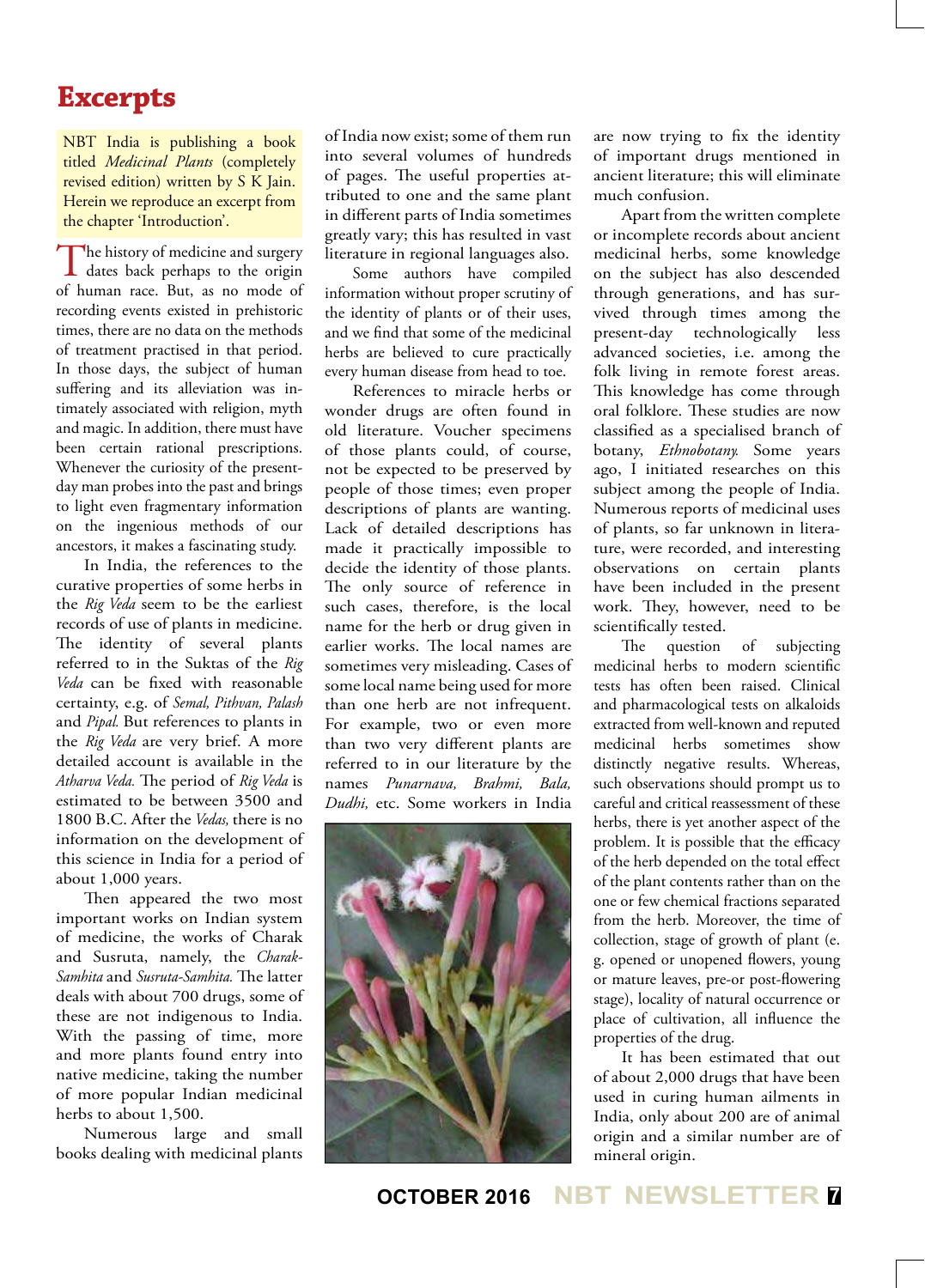## **Excerpts**

NBT India is publishing a book titled *Medicinal Plants* (completely revised edition) written by S K Jain. Herein we reproduce an excerpt from the chapter 'Introduction'.

The history of medicine and surgery<br>dates back perhaps to the origin of human race. But, as no mode of recording events existed in prehistoric times, there are no data on the methods of treatment practised in that period. In those days, the subject of human suffering and its alleviation was intimately associated with religion, myth and magic. In addition, there must have been certain rational prescriptions. Whenever the curiosity of the presentday man probes into the past and brings to light even fragmentary information on the ingenious methods of our ancestors, it makes a fascinating study.

In India, the references to the curative properties of some herbs in the *Rig Veda* seem to be the earliest records of use of plants in medicine. The identity of several plants referred to in the Suktas of the *Rig Veda* can be fixed with reasonable certainty, e.g. of *Semal, Pithvan, Palash*  and *Pipal.* But references to plants in the *Rig Veda* are very brief. A more detailed account is available in the *Atharva Veda.* The period of *Rig Veda* is estimated to be between 3500 and 1800 B.C. After the *Vedas,* there is no information on the development of this science in India for a period of about 1,000 years.

Then appeared the two most important works on Indian system of medicine, the works of Charak and Susruta, namely, the *Charak-Samhita* and *Susruta-Samhita.* The latter deals with about 700 drugs, some of these are not indigenous to India. With the passing of time, more and more plants found entry into native medicine, taking the number of more popular Indian medicinal herbs to about 1,500.

Numerous large and small books dealing with medicinal plants of India now exist; some of them run into several volumes of hundreds of pages. The useful properties attributed to one and the same plant in different parts of India sometimes greatly vary; this has resulted in vast literature in regional languages also.

Some authors have compiled information without proper scrutiny of the identity of plants or of their uses, and we find that some of the medicinal herbs are believed to cure practically every human disease from head to toe.

References to miracle herbs or wonder drugs are often found in old literature. Voucher specimens of those plants could, of course, not be expected to be preserved by people of those times; even proper descriptions of plants are wanting. Lack of detailed descriptions has made it practically impossible to decide the identity of those plants. The only source of reference in such cases, therefore, is the local name for the herb or drug given in earlier works. The local names are sometimes very misleading. Cases of some local name being used for more than one herb are not infrequent. For example, two or even more than two very different plants are referred to in our literature by the names *Punarnava, Brahmi, Bala, Dudhi,* etc. Some workers in India



are now trying to fix the identity of important drugs mentioned in ancient literature; this will eliminate much confusion.

Apart from the written complete or incomplete records about ancient medicinal herbs, some knowledge on the subject has also descended through generations, and has survived through times among the present-day technologically less advanced societies, i.e. among the folk living in remote forest areas. This knowledge has come through oral folklore. These studies are now classified as a specialised branch of botany, *Ethnobotany.* Some years ago, I initiated researches on this subject among the people of India. Numerous reports of medicinal uses of plants, so far unknown in literature, were recorded, and interesting observations on certain plants have been included in the present work. They, however, need to be scientifically tested.

The question of subjecting medicinal herbs to modern scientific tests has often been raised. Clinical and pharmacological tests on alkaloids extracted from well-known and reputed medicinal herbs sometimes show distinctly negative results. Whereas, such observations should prompt us to careful and critical reassessment of these herbs, there is yet another aspect of the problem. It is possible that the efficacy of the herb depended on the total effect of the plant contents rather than on the one or few chemical fractions separated from the herb. Moreover, the time of collection, stage of growth of plant (e. g. opened or unopened flowers, young or mature leaves, pre-or post-flowering stage), locality of natural occurrence or place of cultivation, all influence the properties of the drug.

It has been estimated that out of about 2,000 drugs that have been used in curing human ailments in India, only about 200 are of animal origin and a similar number are of mineral origin.

**OCTOBER 2016 NBT NEWSLETTER <sup>7</sup>**